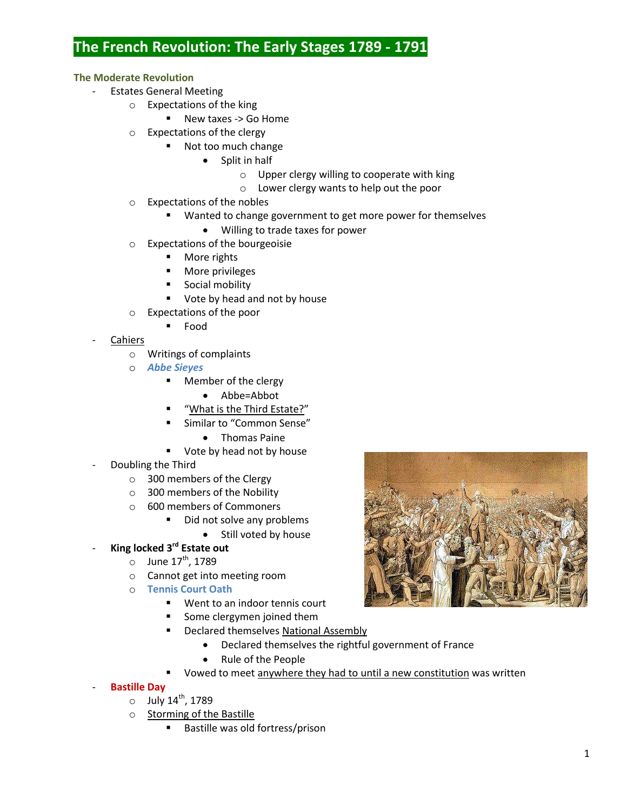# **The French Revolution: The Early Stages 1789 - 1791**

## **The Moderate Revolution**

- Estates General Meeting
	- o Expectations of the king
		- New taxes -> Go Home
	- o Expectations of the clergy
		- Not too much change
			- Split in half
				- o Upper clergy willing to cooperate with king
				- o Lower clergy wants to help out the poor
	- o Expectations of the nobles
		- **Wanted to change government to get more power for themselves** 
			- Willing to trade taxes for power
	- o Expectations of the bourgeoisie
		- **More rights**
		- **More privileges**
		- **Social mobility**
		- Vote by head and not by house
	- o Expectations of the poor
		- Food
- **Cahiers** 
	- o Writings of complaints
	- o *Abbe Sieyes*
		- Member of the clergy
			- Abbe=Abbot
		- "What is the Third Estate?"
		- **EXEC** Similar to "Common Sense"
			- Thomas Paine
		- Vote by head not by house
	- Doubling the Third
		- o 300 members of the Clergy
		- o 300 members of the Nobility
		- o 600 members of Commoners
			- Did not solve any problems
				- Still voted by house
- **King locked 3rd Estate out**
	- $\circ$  June 17<sup>th</sup>, 1789
	- o Cannot get into meeting room
	- o **Tennis Court Oath**
		- Went to an indoor tennis court
		- Some clergymen joined them
		- Declared themselves National Assembly
			- Declared themselves the rightful government of France
			- Rule of the People
		- Vowed to meet anywhere they had to until a new constitution was written
- **Bastille Day**
	- $\circ$  July 14<sup>th</sup>, 1789
	- o Storming of the Bastille
		- **Bastille was old fortress/prison**

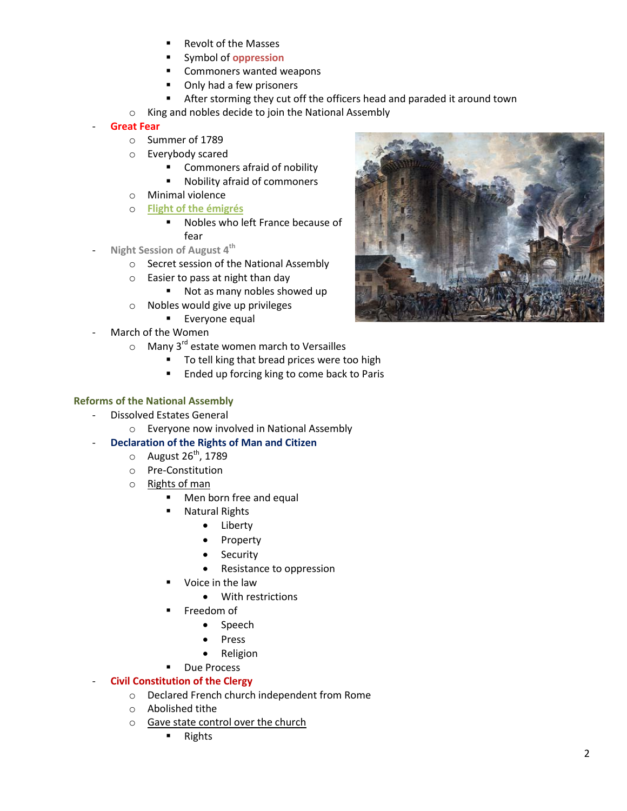- Revolt of the Masses
- Symbol of **oppression**
- **EXECOMMONERS wanted weapons**
- Only had a few prisoners
- After storming they cut off the officers head and paraded it around town
- o King and nobles decide to join the National Assembly

#### - **Great Fear**

- o Summer of 1789
- o Everybody scared
	- **EXECOMMONER COMMONER COMMONER S**
	- Nobility afraid of commoners
- o Minimal violence
- o **Flight of the émigrés**
	- **Nobles who left France because of** fear
- **Night Session of August 4th**
	- o Secret session of the National Assembly
	- o Easier to pass at night than day
		- Not as many nobles showed up
	- o Nobles would give up privileges
		- **Everyone equal**
- March of the Women
	- $\circ$  Many 3<sup>rd</sup> estate women march to Versailles
		- **To tell king that bread prices were too high**
		- **Ended up forcing king to come back to Paris**

## **Reforms of the National Assembly**

- Dissolved Estates General
	- o Everyone now involved in National Assembly
- **Declaration of the Rights of Man and Citizen**
	- $\circ$  August 26<sup>th</sup>, 1789
	- o Pre-Constitution
	- o Rights of man
		- Men born free and equal
		- Natural Rights
			- Liberty
			- Property
			- Security
			- Resistance to oppression
		- Voice in the law
			- With restrictions
		- Freedom of
			- Speech
			- Press
			- Religion
		- **Due Process**

## **Civil Constitution of the Clergy**

- o Declared French church independent from Rome
- o Abolished tithe
- o Gave state control over the church
	- **Rights**

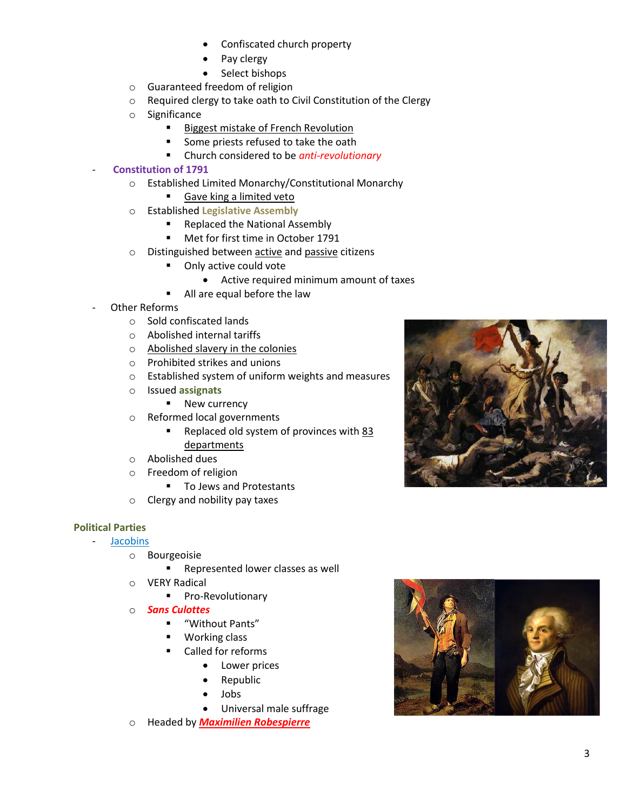- Confiscated church property
- Pay clergy
- Select bishops
- o Guaranteed freedom of religion
- o Required clergy to take oath to Civil Constitution of the Clergy
- o Significance
	- **Biggest mistake of French Revolution** 
		- Some priests refused to take the oath
	- Church considered to be *anti-revolutionary*

## - **Constitution of 1791**

- o Established Limited Monarchy/Constitutional Monarchy
	- Gave king a limited veto
- o Established **Legislative Assembly**
	- Replaced the National Assembly
	- **Met for first time in October 1791**
- o Distinguished between active and passive citizens
	- Only active could vote
		- Active required minimum amount of taxes
	- All are equal before the law
- Other Reforms
	- o Sold confiscated lands
	- o Abolished internal tariffs
	- o Abolished slavery in the colonies
	- o Prohibited strikes and unions
	- o Established system of uniform weights and measures
	- o Issued **assignats**
		- New currency
	- o Reformed local governments
		- Replaced old system of provinces with 83 departments
	- o Abolished dues
	- o Freedom of religion
		- To Jews and Protestants
	- o Clergy and nobility pay taxes

## **Political Parties**

- **Jacobins** 
	- o Bourgeoisie
		- **Represented lower classes as well**
	- o VERY Radical
		- **Pro-Revolutionary**
	- o *Sans Culottes*
		- "Without Pants"
		- **Working class**
		- Called for reforms
			- Lower prices
			- Republic
				- Jobs
			- Universal male suffrage
	- o Headed by *Maximilien Robespierre*